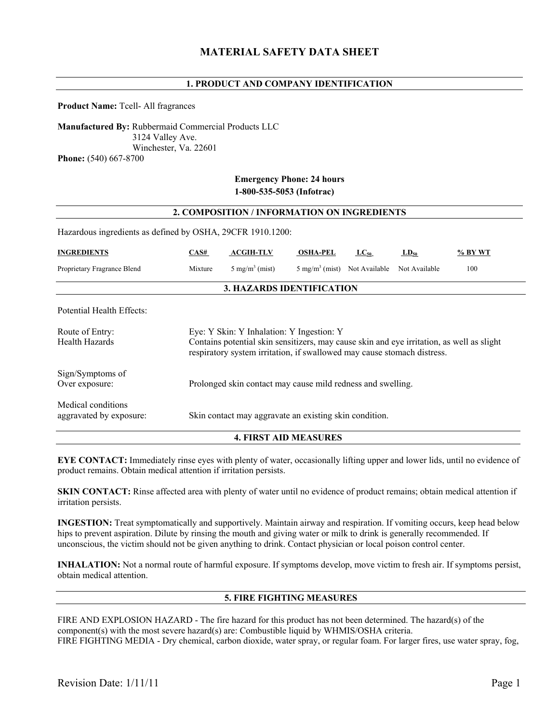## **1. PRODUCT AND COMPANY IDENTIFICATION**

**Product Name:** Tcell- All fragrances

**Manufactured By:** Rubbermaid Commercial Products LLC 3124 Valley Ave. Winchester, Va. 22601 **Phone:** (540) 667-8700

## **Emergency Phone: 24 hours 1-800-535-5053 (Infotrac)**

| 2. COMPOSITION / INFORMATION ON INGREDIENTS                |                                                                                                                                                                                                                   |                                   |                                         |           |               |         |
|------------------------------------------------------------|-------------------------------------------------------------------------------------------------------------------------------------------------------------------------------------------------------------------|-----------------------------------|-----------------------------------------|-----------|---------------|---------|
| Hazardous ingredients as defined by OSHA, 29CFR 1910.1200: |                                                                                                                                                                                                                   |                                   |                                         |           |               |         |
| <b>INGREDIENTS</b>                                         | CAS#                                                                                                                                                                                                              | <b>ACGIH-TLV</b>                  | <b>OSHA-PEL</b>                         | $LC_{50}$ | $LD_{50}$     | % BY WT |
| Proprietary Fragrance Blend                                | Mixture                                                                                                                                                                                                           | $5 \text{ mg/m}^3 \text{ (mist)}$ | $5 \text{ mg/m}^3$ (mist) Not Available |           | Not Available | 100     |
| 3. HAZARDS IDENTIFICATION                                  |                                                                                                                                                                                                                   |                                   |                                         |           |               |         |
| Potential Health Effects:                                  |                                                                                                                                                                                                                   |                                   |                                         |           |               |         |
| Route of Entry:<br>Health Hazards                          | Eye: Y Skin: Y Inhalation: Y Ingestion: Y<br>Contains potential skin sensitizers, may cause skin and eye irritation, as well as slight<br>respiratory system irritation, if swallowed may cause stomach distress. |                                   |                                         |           |               |         |
| Sign/Symptoms of<br>Over exposure:                         | Prolonged skin contact may cause mild redness and swelling.                                                                                                                                                       |                                   |                                         |           |               |         |
| Medical conditions<br>aggravated by exposure:              | Skin contact may aggravate an existing skin condition.                                                                                                                                                            |                                   |                                         |           |               |         |

### **4. FIRST AID MEASURES**

**EYE CONTACT:** Immediately rinse eyes with plenty of water, occasionally lifting upper and lower lids, until no evidence of product remains. Obtain medical attention if irritation persists.

**SKIN CONTACT:** Rinse affected area with plenty of water until no evidence of product remains; obtain medical attention if irritation persists.

**INGESTION:** Treat symptomatically and supportively. Maintain airway and respiration. If vomiting occurs, keep head below hips to prevent aspiration. Dilute by rinsing the mouth and giving water or milk to drink is generally recommended. If unconscious, the victim should not be given anything to drink. Contact physician or local poison control center.

**INHALATION:** Not a normal route of harmful exposure. If symptoms develop, move victim to fresh air. If symptoms persist, obtain medical attention.

### **5. FIRE FIGHTING MEASURES**

FIRE AND EXPLOSION HAZARD - The fire hazard for this product has not been determined. The hazard(s) of the component(s) with the most severe hazard(s) are: Combustible liquid by WHMIS/OSHA criteria. FIRE FIGHTING MEDIA - Dry chemical, carbon dioxide, water spray, or regular foam. For larger fires, use water spray, fog,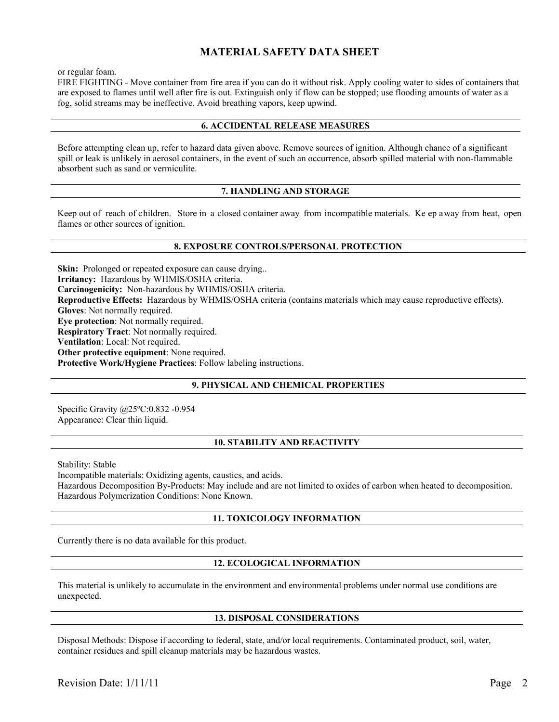# **MATERIAL SAFETY DATA SHEET**

or regular foam.

FIRE FIGHTING - Move container from fire area if you can do it without risk. Apply cooling water to sides of containers that are exposed to flames until well after fire is out. Extinguish only if flow can be stopped; use flooding amounts of water as a fog, solid streams may be ineffective. Avoid breathing vapors, keep upwind.

### **6. ACCIDENTAL RELEASE MEASURES**

Before attempting clean up, refer to hazard data given above. Remove sources of ignition. Although chance of a significant spill or leak is unlikely in aerosol containers, in the event of such an occurrence, absorb spilled material with non-flammable absorbent such as sand or vermiculite.

### **7. HANDLING AND STORAGE**

Keep out of reach of children. Store in a closed container away from incompatible materials. Ke ep away from heat, open flames or other sources of ignition.

### **8. EXPOSURE CONTROLS/PERSONAL PROTECTION**

**Skin:** Prolonged or repeated exposure can cause drying... **Irritancy:** Hazardous by WHMIS/OSHA criteria. **Carcinogenicity:** Non-hazardous by WHMIS/OSHA criteria. **Reproductive Effects:** Hazardous by WHMIS/OSHA criteria (contains materials which may cause reproductive effects). **Gloves**: Not normally required. **Eye protection**: Not normally required. **Respiratory Tract**: Not normally required. **Ventilation**: Local: Not required. **Other protective equipment**: None required. **Protective Work/Hygiene Practices**: Follow labeling instructions.

### **9. PHYSICAL AND CHEMICAL PROPERTIES**

Specific Gravity @25ºC:0.832 -0.954 Appearance: Clear thin liquid.

### **10. STABILITY AND REACTIVITY**

Stability: Stable

Incompatible materials: Oxidizing agents, caustics, and acids. Hazardous Decomposition By-Products: May include and are not limited to oxides of carbon when heated to decomposition. Hazardous Polymerization Conditions: None Known.

### **11. TOXICOLOGY INFORMATION**

Currently there is no data available for this product.

### **12. ECOLOGICAL INFORMATION**

This material is unlikely to accumulate in the environment and environmental problems under normal use conditions are unexpected.

### **13. DISPOSAL CONSIDERATIONS**

Disposal Methods: Dispose if according to federal, state, and/or local requirements. Contaminated product, soil, water, container residues and spill cleanup materials may be hazardous wastes.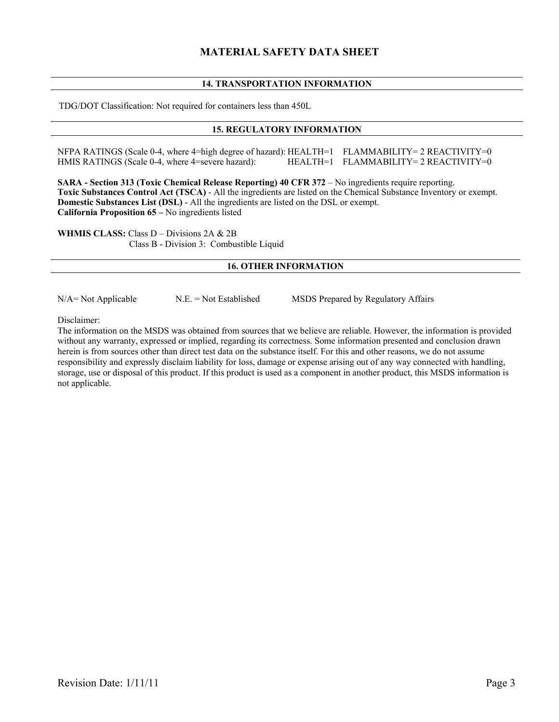# **MATERIAL SAFETY DATA SHEET**

## **14. TRANSPORTATION INFORMATION**

TDG/DOT Classification: Not required for containers less than 450L

### **15. REGULATORY INFORMATION**

NFPA RATINGS (Scale 0-4, where 4=high degree of hazard): HEALTH=1 FLAMMABILITY= 2 REACTIVITY=0<br>HMIS RATINGS (Scale 0-4, where 4=severe hazard): HEALTH=1 FLAMMABILITY= 2 REACTIVITY=0 HEALTH=1 FLAMMABILITY=2 REACTIVITY=0

**SARA - Section 313 (Toxic Chemical Release Reporting) 40 CFR 372** – No ingredients require reporting. **Toxic Substances Control Act (TSCA)** - All the ingredients are listed on the Chemical Substance Inventory or exempt. **Domestic Substances List (DSL)** - All the ingredients are listed on the DSL or exempt. **California Proposition 65 –** No ingredients listed

**WHMIS CLASS:** Class D – Divisions 2A & 2B Class B - Division 3: Combustible Liquid

### **16. OTHER INFORMATION**

 $N/A$  = Not Applicable  $N.E.$  = Not Established MSDS Prepared by Regulatory Affairs

Disclaimer:

The information on the MSDS was obtained from sources that we believe are reliable. However, the information is provided without any warranty, expressed or implied, regarding its correctness. Some information presented and conclusion drawn herein is from sources other than direct test data on the substance itself. For this and other reasons, we do not assume responsibility and expressly disclaim liability for loss, damage or expense arising out of any way connected with handling, storage, use or disposal of this product. If this product is used as a component in another product, this MSDS information is not applicable.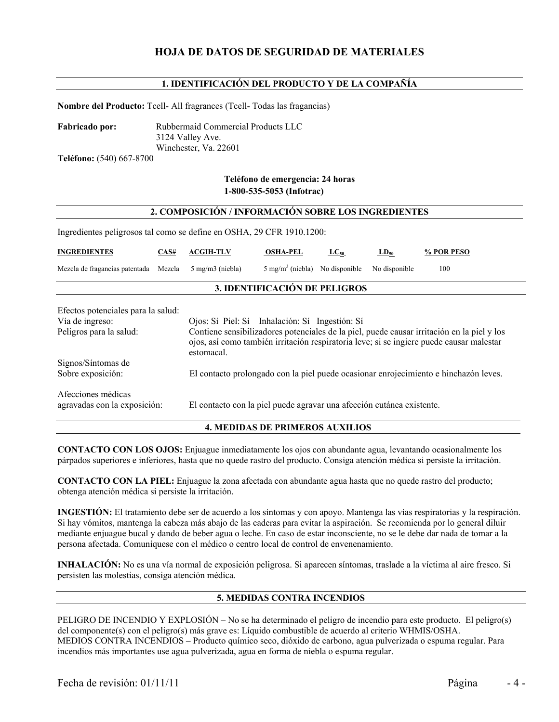# **HOJA DE DATOS DE SEGURIDAD DE MATERIALES**

## **1. IDENTIFICACIÓN DEL PRODUCTO Y DE LA COMPAÑÍA**

**Nombre del Producto:** Tcell- All fragrances (Tcell- Todas las fragancias)

**Fabricado por:** Rubbermaid Commercial Products LLC 3124 Valley Ave. Winchester, Va. 22601

**Teléfono:** (540) 667-8700

# **Teléfono de emergencia: 24 horas 1-800-535-5053 (Infotrac)**

#### **2. COMPOSICIÓN / INFORMACIÓN SOBRE LOS INGREDIENTES**

Ingredientes peligrosos tal como se define en OSHA, 29 CFR 1910.1200:

| <b>INGREDIENTES</b>                                | CAS#   | <b>ACGIH-TLV</b>                                                                                                                                                                                     | <b>OSHA-PEL</b>             | $\text{LC}_{50}$ | $LD_{50}$     | % POR PESO                                                                           |
|----------------------------------------------------|--------|------------------------------------------------------------------------------------------------------------------------------------------------------------------------------------------------------|-----------------------------|------------------|---------------|--------------------------------------------------------------------------------------|
| Mezcla de fragancias patentada                     | Mezcla | $5 \text{ mg/m}$ $3 \text{ (niebla)}$                                                                                                                                                                | $5 \text{ mg/m}^3$ (niebla) | No disponible    | No disponible | 100                                                                                  |
| 3. IDENTIFICACIÓN DE PELIGROS                      |        |                                                                                                                                                                                                      |                             |                  |               |                                                                                      |
| Efectos potenciales para la salud:                 |        |                                                                                                                                                                                                      |                             |                  |               |                                                                                      |
| Vía de ingreso:                                    |        | Ojos: Sí Piel: Sí Inhalación: Sí Ingestión: Sí                                                                                                                                                       |                             |                  |               |                                                                                      |
| Peligros para la salud:                            |        | Contiene sensibilizadores potenciales de la piel, puede causar irritación en la piel y los<br>ojos, así como también irritación respiratoria leve; si se ingiere puede causar malestar<br>estomacal. |                             |                  |               |                                                                                      |
| Signos/Síntomas de                                 |        |                                                                                                                                                                                                      |                             |                  |               |                                                                                      |
| Sobre exposición:                                  |        |                                                                                                                                                                                                      |                             |                  |               | El contacto prolongado con la piel puede ocasionar enrojecimiento e hinchazón leves. |
| Afecciones médicas<br>agravadas con la exposición: |        | El contacto con la piel puede agravar una afección cutánea existente.                                                                                                                                |                             |                  |               |                                                                                      |

#### **4. MEDIDAS DE PRIMEROS AUXILIOS**

**CONTACTO CON LOS OJOS:** Enjuague inmediatamente los ojos con abundante agua, levantando ocasionalmente los párpados superiores e inferiores, hasta que no quede rastro del producto. Consiga atención médica si persiste la irritación.

**CONTACTO CON LA PIEL:** Enjuague la zona afectada con abundante agua hasta que no quede rastro del producto; obtenga atención médica si persiste la irritación.

**INGESTIÓN:** El tratamiento debe ser de acuerdo a los síntomas y con apoyo. Mantenga las vías respiratorias y la respiración. Si hay vómitos, mantenga la cabeza más abajo de las caderas para evitar la aspiración. Se recomienda por lo general diluir mediante enjuague bucal y dando de beber agua o leche. En caso de estar inconsciente, no se le debe dar nada de tomar a la persona afectada. Comuníquese con el médico o centro local de control de envenenamiento.

**INHALACIÓN:** No es una vía normal de exposición peligrosa. Si aparecen síntomas, traslade a la víctima al aire fresco. Si persisten las molestias, consiga atención médica.

### **5. MEDIDAS CONTRA INCENDIOS**

PELIGRO DE INCENDIO Y EXPLOSIÓN – No se ha determinado el peligro de incendio para este producto. El peligro(s) del componente(s) con el peligro(s) más grave es: Líquido combustible de acuerdo al criterio WHMIS/OSHA. MEDIOS CONTRA INCENDIOS – Producto químico seco, dióxido de carbono, agua pulverizada o espuma regular. Para incendios más importantes use agua pulverizada, agua en forma de niebla o espuma regular.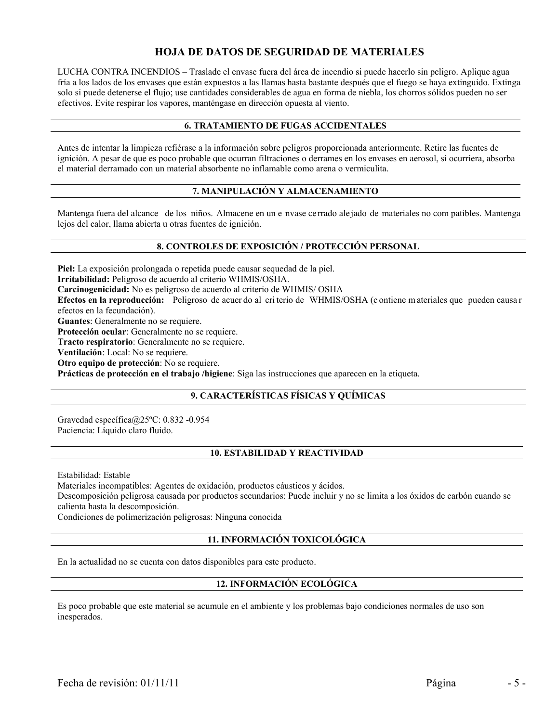# **HOJA DE DATOS DE SEGURIDAD DE MATERIALES**

LUCHA CONTRA INCENDIOS – Traslade el envase fuera del área de incendio si puede hacerlo sin peligro. Aplique agua fría a los lados de los envases que están expuestos a las llamas hasta bastante después que el fuego se haya extinguido. Extinga solo si puede detenerse el flujo; use cantidades considerables de agua en forma de niebla, los chorros sólidos pueden no ser efectivos. Evite respirar los vapores, manténgase en dirección opuesta al viento.

### **6. TRATAMIENTO DE FUGAS ACCIDENTALES**

Antes de intentar la limpieza refiérase a la información sobre peligros proporcionada anteriormente. Retire las fuentes de ignición. A pesar de que es poco probable que ocurran filtraciones o derrames en los envases en aerosol, si ocurriera, absorba el material derramado con un material absorbente no inflamable como arena o vermiculita.

# **7. MANIPULACIÓN Y ALMACENAMIENTO**

Mantenga fuera del alcance de los niños. Almacene en un e nvase cerrado alejado de materiales no com patibles. Mantenga lejos del calor, llama abierta u otras fuentes de ignición.

## **8. CONTROLES DE EXPOSICIÓN / PROTECCIÓN PERSONAL**

**Piel:** La exposición prolongada o repetida puede causar sequedad de la piel.

**Irritabilidad:** Peligroso de acuerdo al criterio WHMIS/OSHA.

**Carcinogenicidad:** No es peligroso de acuerdo al criterio de WHMIS/ OSHA

**Efectos en la reproducción:** Peligroso de acuer do al cri terio de WHMIS/OSHA (c ontiene m ateriales que pueden causa r efectos en la fecundación).

**Guantes**: Generalmente no se requiere.

**Protección ocular**: Generalmente no se requiere.

**Tracto respiratorio**: Generalmente no se requiere.

**Ventilación**: Local: No se requiere.

**Otro equipo de protección**: No se requiere.

**Prácticas de protección en el trabajo /higiene**: Siga las instrucciones que aparecen en la etiqueta.

# **9. CARACTERÍSTICAS FÍSICAS Y QUÍMICAS**

Gravedad específica@25ºC: 0.832 -0.954 Paciencia: Líquido claro fluido.

### **10. ESTABILIDAD Y REACTIVIDAD**

Estabilidad: Estable

Materiales incompatibles: Agentes de oxidación, productos cáusticos y ácidos. Descomposición peligrosa causada por productos secundarios: Puede incluir y no se limita a los óxidos de carbón cuando se calienta hasta la descomposición.

Condiciones de polimerización peligrosas: Ninguna conocida

### **11. INFORMACIÓN TOXICOLÓGICA**

En la actualidad no se cuenta con datos disponibles para este producto.

# **12. INFORMACIÓN ECOLÓGICA**

Es poco probable que este material se acumule en el ambiente y los problemas bajo condiciones normales de uso son inesperados.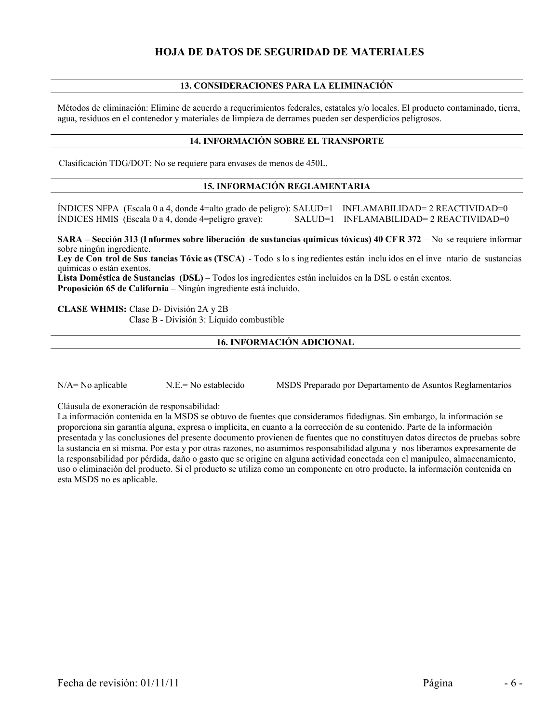# **HOJA DE DATOS DE SEGURIDAD DE MATERIALES**

## **13. CONSIDERACIONES PARA LA ELIMINACIÓN**

Métodos de eliminación: Elimine de acuerdo a requerimientos federales, estatales y/o locales. El producto contaminado, tierra, agua, residuos en el contenedor y materiales de limpieza de derrames pueden ser desperdicios peligrosos.

### **14. INFORMACIÓN SOBRE EL TRANSPORTE**

Clasificación TDG/DOT: No se requiere para envases de menos de 450L.

### **15. INFORMACIÓN REGLAMENTARIA**

ÍNDICES NFPA (Escala 0 a 4, donde 4=alto grado de peligro): SALUD=1 INFLAMABILIDAD= 2 REACTIVIDAD=0 ÍNDICES HMIS (Escala 0 a 4, donde 4=peligro grave): SALUD=1 INFLAMABILIDAD= 2 REACTIVIDAD=0

**SARA – Sección 313 (I nformes sobre liberación de sustancias químicas tóxicas) 40 CF R 372** – No se requiere informar sobre ningún ingrediente.

**Ley de Con trol de Sus tancias Tóxic as (TSCA)** - Todo s lo s ing redientes están inclu idos en el inve ntario de sustancias químicas o están exentos.

**Lista Doméstica de Sustancias (DSL)** – Todos los ingredientes están incluidos en la DSL o están exentos. **Proposición 65 de California –** Ningún ingrediente está incluido.

**CLASE WHMIS:** Clase D- División 2A y 2B Clase B - División 3: Líquido combustible

### **16. INFORMACIÓN ADICIONAL**

N/A= No aplicable N.E.= No establecido MSDS Preparado por Departamento de Asuntos Reglamentarios

Cláusula de exoneración de responsabilidad:

La información contenida en la MSDS se obtuvo de fuentes que consideramos fidedignas. Sin embargo, la información se proporciona sin garantía alguna, expresa o implícita, en cuanto a la corrección de su contenido. Parte de la información presentada y las conclusiones del presente documento provienen de fuentes que no constituyen datos directos de pruebas sobre la sustancia en sí misma. Por esta y por otras razones, no asumimos responsabilidad alguna y nos liberamos expresamente de la responsabilidad por pérdida, daño o gasto que se origine en alguna actividad conectada con el manipuleo, almacenamiento, uso o eliminación del producto. Si el producto se utiliza como un componente en otro producto, la información contenida en esta MSDS no es aplicable.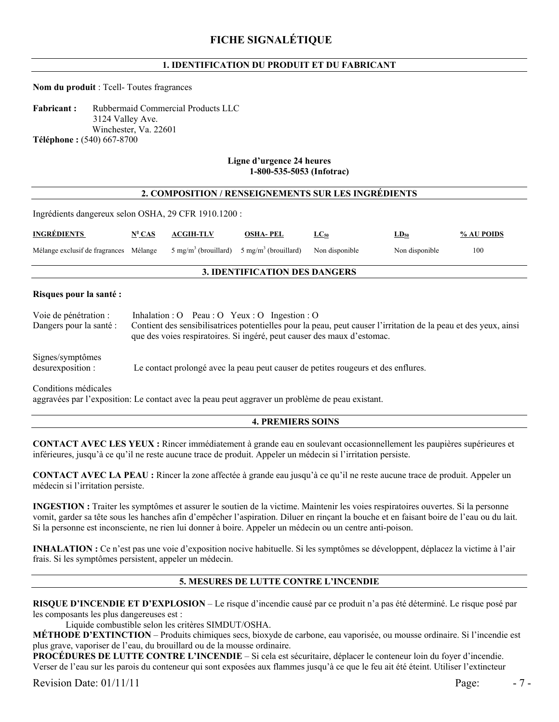# **1. IDENTIFICATION DU PRODUIT ET DU FABRICANT**

### **Nom du produit** : Tcell- Toutes fragrances

**Fabricant :** Rubbermaid Commercial Products LLC 3124 Valley Ave. Winchester, Va. 22601 **Téléphone :** (540) 667-8700

#### **Ligne d'urgence 24 heures 1-800-535-5053 (Infotrac)**

### **2. COMPOSITION / RENSEIGNEMENTS SUR LES INGRÉDIENTS**

Ingrédients dangereux selon OSHA, 29 CFR 1910.1200 :

| <b>INGRÉDIENTS</b>                     | $N^{\circ}$ CAS | <b>ACGIH-TLV</b>                                                               | <b>OSHA-PEL</b> | $LC_{50}$ | $LD_{50}$      | % AU POIDS |
|----------------------------------------|-----------------|--------------------------------------------------------------------------------|-----------------|-----------|----------------|------------|
| Mélange exclusif de fragrances Mélange |                 | $5 \text{ mg/m}^3$ (brouillard) $5 \text{ mg/m}^3$ (brouillard) Non disponible |                 |           | Non disponible | 100        |

### **3. IDENTIFICATION DES DANGERS**

#### **Risques pour la santé :**

| Voie de pénétration :<br>Dangers pour la santé : | Inhalation : O Peau : O Yeux : O Ingestion : O<br>Contient des sensibilisatrices potentielles pour la peau, peut causer l'irritation de la peau et des yeux, ainsi<br>que des voies respiratoires. Si ingéré, peut causer des maux d'estomac. |
|--------------------------------------------------|-----------------------------------------------------------------------------------------------------------------------------------------------------------------------------------------------------------------------------------------------|
| Signes/symptômes<br>desurexposition :            | Le contact prolongé avec la peau peut causer de petites rougeurs et des enflures.                                                                                                                                                             |

Conditions médicales

aggravées par l'exposition: Le contact avec la peau peut aggraver un problème de peau existant.

### **4. PREMIERS SOINS**

**CONTACT AVEC LES YEUX :** Rincer immédiatement à grande eau en soulevant occasionnellement les paupières supérieures et inférieures, jusqu'à ce qu'il ne reste aucune trace de produit. Appeler un médecin si l'irritation persiste.

**CONTACT AVEC LA PEAU :** Rincer la zone affectée à grande eau jusqu'à ce qu'il ne reste aucune trace de produit. Appeler un médecin si l'irritation persiste.

**INGESTION :** Traiter les symptômes et assurer le soutien de la victime. Maintenir les voies respiratoires ouvertes. Si la personne vomit, garder sa tête sous les hanches afin d'empêcher l'aspiration. Diluer en rinçant la bouche et en faisant boire de l'eau ou du lait. Si la personne est inconsciente, ne rien lui donner à boire. Appeler un médecin ou un centre anti-poison.

**INHALATION :** Ce n'est pas une voie d'exposition nocive habituelle. Si les symptômes se développent, déplacez la victime à l'air frais. Si les symptômes persistent, appeler un médecin.

# **5. MESURES DE LUTTE CONTRE L'INCENDIE**

**RISQUE D'INCENDIE ET D'EXPLOSION** – Le risque d'incendie causé par ce produit n'a pas été déterminé. Le risque posé par les composants les plus dangereuses est :

Liquide combustible selon les critères SIMDUT/OSHA.

**MÉTHODE D'EXTINCTION** – Produits chimiques secs, bioxyde de carbone, eau vaporisée, ou mousse ordinaire. Si l'incendie est plus grave, vaporiser de l'eau, du brouillard ou de la mousse ordinaire.

**PROCÉDURES DE LUTTE CONTRE L'INCENDIE** – Si cela est sécuritaire, déplacer le conteneur loin du foyer d'incendie. Verser de l'eau sur les parois du conteneur qui sont exposées aux flammes jusqu'à ce que le feu ait été éteint. Utiliser l'extincteur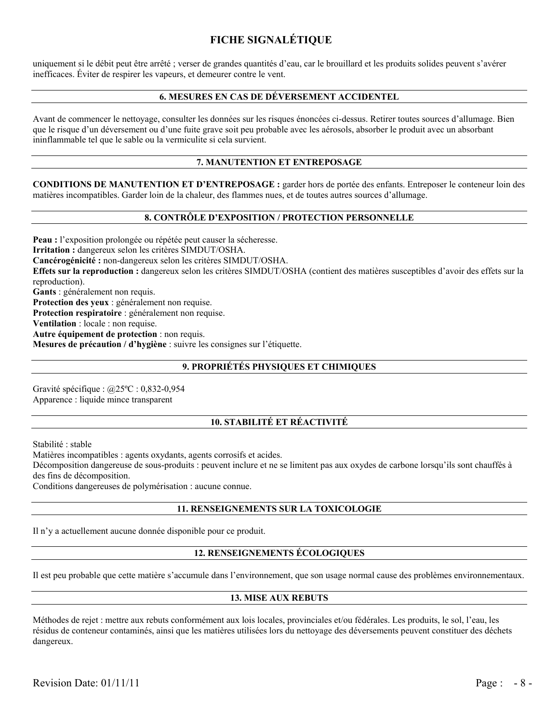# **FICHE SIGNALÉTIQUE**

uniquement si le débit peut être arrêté ; verser de grandes quantités d'eau, car le brouillard et les produits solides peuvent s'avérer inefficaces. Éviter de respirer les vapeurs, et demeurer contre le vent.

### **6. MESURES EN CAS DE DÉVERSEMENT ACCIDENTEL**

Avant de commencer le nettoyage, consulter les données sur les risques énoncées ci-dessus. Retirer toutes sources d'allumage. Bien que le risque d'un déversement ou d'une fuite grave soit peu probable avec les aérosols, absorber le produit avec un absorbant ininflammable tel que le sable ou la vermiculite si cela survient.

### **7. MANUTENTION ET ENTREPOSAGE**

**CONDITIONS DE MANUTENTION ET D'ENTREPOSAGE :** garder hors de portée des enfants. Entreposer le conteneur loin des matières incompatibles. Garder loin de la chaleur, des flammes nues, et de toutes autres sources d'allumage.

### **8. CONTRÔLE D'EXPOSITION / PROTECTION PERSONNELLE**

**Peau :** l'exposition prolongée ou répétée peut causer la sécheresse. **Irritation :** dangereux selon les critères SIMDUT/OSHA. **Cancérogénicité :** non-dangereux selon les critères SIMDUT/OSHA. **Effets sur la reproduction :** dangereux selon les critères SIMDUT/OSHA (contient des matières susceptibles d'avoir des effets sur la reproduction). **Gants** : généralement non requis. **Protection des yeux** : généralement non requise. **Protection respiratoire** : généralement non requise. **Ventilation** : locale : non requise. **Autre équipement de protection** : non requis. **Mesures de précaution / d'hygiène** : suivre les consignes sur l'étiquette. 

# **9. PROPRIÉTÉS PHYSIQUES ET CHIMIQUES**

Gravité spécifique : @25ºC : 0,832-0,954 Apparence : liquide mince transparent

## **10. STABILITÉ ET RÉACTIVITÉ**

Stabilité : stable

Matières incompatibles : agents oxydants, agents corrosifs et acides.

Décomposition dangereuse de sous-produits : peuvent inclure et ne se limitent pas aux oxydes de carbone lorsqu'ils sont chauffés à des fins de décomposition.

Conditions dangereuses de polymérisation : aucune connue.

#### **11. RENSEIGNEMENTS SUR LA TOXICOLOGIE**

Il n'y a actuellement aucune donnée disponible pour ce produit.

#### **12. RENSEIGNEMENTS ÉCOLOGIQUES**

Il est peu probable que cette matière s'accumule dans l'environnement, que son usage normal cause des problèmes environnementaux.

#### **13. MISE AUX REBUTS**

Méthodes de rejet : mettre aux rebuts conformément aux lois locales, provinciales et/ou fédérales. Les produits, le sol, l'eau, les résidus de conteneur contaminés, ainsi que les matières utilisées lors du nettoyage des déversements peuvent constituer des déchets dangereux.